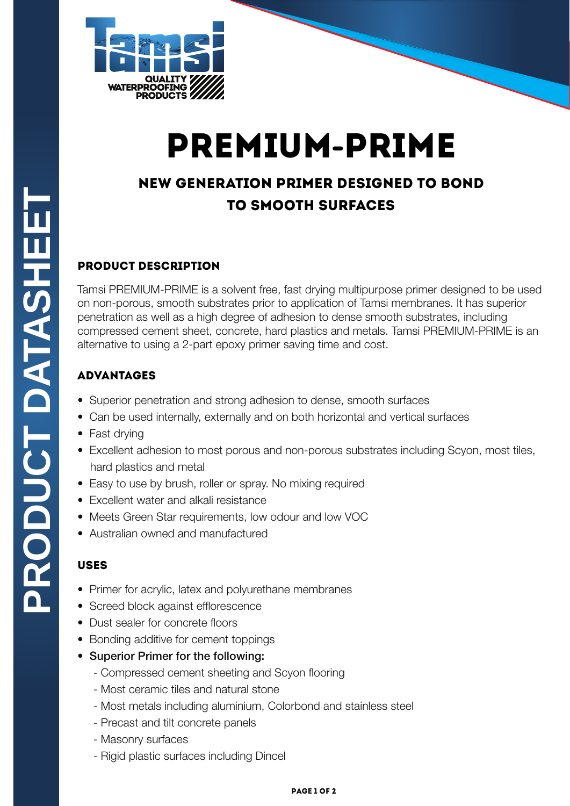

# PREMIUM**-**PRIME

# NEW GENERATION PRIMER DESIGNED TO BOND TO SMOOTH SURFACES

# PRODUCT DESCRIPTION

Tamsi PREMIUM-PRIME is a solvent free, fast drying multipurpose primer designed to be used on non-porous, smooth substrates prior to application of Tamsi membranes. It has superior penetration as well as a high degree of adhesion to dense smooth substrates, including compressed cement sheet, concrete, hard plastics and metals. Tamsi PREMIUM-PRIME is an alternative to using a 2-part epoxy primer saving time and cost.

# ADVANTAGES

- Superior penetration and strong adhesion to dense, smooth surfaces
- Can be used internally, externally and on both horizontal and vertical surfaces
- Fast drying
- Excellent adhesion to most porous and non-porous substrates including Scyon, most tiles, hard plastics and metal
- Easy to use by brush, roller or spray. No mixing required
- Excellent water and alkali resistance
- Meets Green Star requirements, low odour and low VOC
- Australian owned and manufactured

# USES

- Primer for acrylic, latex and polyurethane membranes
- Screed block against efflorescence
- Dust sealer for concrete floors
- Bonding additive for cement toppings
- Superior Primer for the following:
	- Compressed cement sheeting and Scyon flooring
	- Most ceramic tiles and natural stone
	- Most metals including aluminium, Colorbond and stainless steel
	- Precast and tilt concrete panels
	- Masonry surfaces
	- Rigid plastic surfaces including Dincel